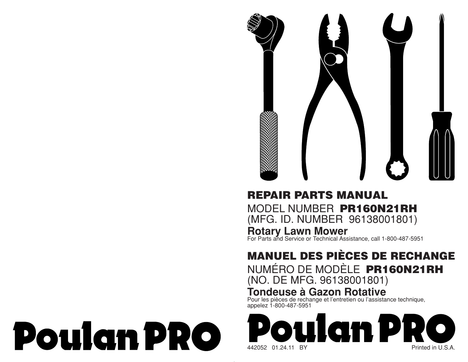



MODEL NUMBER **PR160N21RH**(MFG. ID. NUMBER 96138001801)

**Rotary Lawn Mower**<br>For Parts and Service or Technical Assistance, call 1-800-487-5951

# **MANUEL DES PIÈCES DE RECHANGE**

NUMÉRO DE MODÈLE **PR160N21RH** (NO. DE MFG. 96138001801)

## **Tondeuse à Gazon Rotative**

Pour les pièces de rechange et l'entretien ou l'assistance technique, appelez 1-800-487-5951



# **Poulan PRO**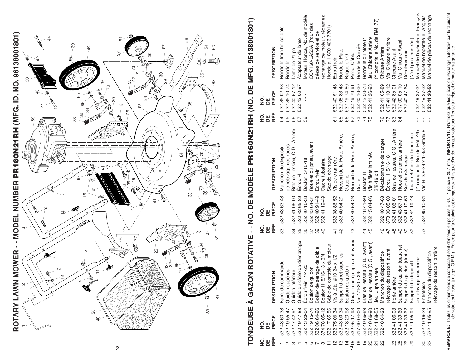

# TONDEUSE À GAZON ROTATIVE - - NO. DE MODÈLE PR160N21RH (NO. DE MFG. 96138001801) **TONDEUSE À GAZON ROTATIVE - - NO. DE MODÈLE PR160N21RH (NO. DE MFG. 96138001801)**

|                              |                                                |                                 |                             | Moteur, Honda, No. de modéle |                        |                             | rechange de moteur, réclamez |                             |                                |                                              |                  |                                  |                           |                                |                                |                               |                               |                           |                                 |                            |                            |                            | Manuel de l'opérateur, Français | Manuel de l'opérateur, Anglais | Manuel de pièces de rechange  |                                |
|------------------------------|------------------------------------------------|---------------------------------|-----------------------------|------------------------------|------------------------|-----------------------------|------------------------------|-----------------------------|--------------------------------|----------------------------------------------|------------------|----------------------------------|---------------------------|--------------------------------|--------------------------------|-------------------------------|-------------------------------|---------------------------|---------------------------------|----------------------------|----------------------------|----------------------------|---------------------------------|--------------------------------|-------------------------------|--------------------------------|
|                              | Rondelle frein hélicoïdale                     |                                 |                             |                              | GCV160-LAS3A (Pour des | pièces de service et de     |                              | Honda à 1-800-426-7701)     |                                |                                              |                  |                                  |                           |                                |                                | Y compris le No. de Réf. 77)  |                               |                           |                                 |                            |                            |                            |                                 |                                |                               |                                |
| <b>DESCRIPTION</b>           |                                                | Lame de 21 po.                  | Adaptateur de lame          |                              |                        |                             |                              |                             |                                | Rondelle Plate                               |                  |                                  | Rondelle Curvée           | Rondelle du Moteur             | Jeu, Chicane Arrière           |                               | Chicane Arrière               | Vis, Chicane Arrière      | Chicane Avant                   | Vis, Chicane Avant         | <b>Décalcomanie</b>        | (N'est pas montrée)        |                                 |                                |                               |                                |
|                              | Rondelle                                       |                                 |                             |                              |                        |                             |                              |                             | Ecrou frein                    |                                              | Bague en O       | Pince, Câble                     |                           |                                |                                |                               |                               |                           |                                 |                            |                            |                            |                                 |                                |                               |                                |
|                              |                                                |                                 |                             |                              |                        |                             |                              |                             |                                |                                              |                  |                                  |                           |                                |                                |                               |                               |                           |                                 |                            |                            |                            |                                 |                                |                               |                                |
| PIÉCE<br>gi<br>DE            | 532 85 02-63<br>532 85 10-74                   | 532 40 67-12                    | 532 42 00-97                |                              |                        |                             |                              |                             | 532 40 91-48                   | 532 08 83-48                                 |                  | 532 19 74-80<br>532 19 79-91     | 532 40 16-30              | 532 12 50-78                   | 532 41 36-93                   |                               | 532 41 05-89                  | 81741 13-12               | 532 42 85-01                    | 8170005-10                 | 532 40 47-64               |                            | 532 19 37-34                    | 532 19 37-32                   | 532 44 20-52                  |                                |
| RÉF<br>$\frac{1}{2}$<br>片    | 54<br>55                                       | 56                              | 57                          | 59                           |                        |                             |                              |                             | 5                              | 65                                           |                  | <b>857</b><br>867                |                           | 74                             |                                |                               |                               | 767                       | 83                              | $\frac{8}{4}$              |                            |                            |                                 |                                |                               |                                |
| <b>DESCRIPTION</b>           | de relevage des roues<br>Manchon du dispositif | Bras de l'essieu, C.D., Arrière | Ecrou H                     | Boulon 5/16-18               | Roue et du pneu, avant | Ecrou frein                 | Cadre tubulaire,             | Sac de décharge             | Vis de charniére               | Ressort de la Porte Arrière,                 | Gauche           | Ressort de la Porte Arrière,     | Droite                    | Boulon H                       | Vis à filets laminés H         | $3/8 - 16 \times 1$           | Décalcomanie de danger        | <b>Écrou H</b> 5/16-18    | Bras de l'essieu, C.G., Arrière | Roue et du pneu, arrière   | Sac de décharge            | Jeu de Boîtier de Tondeuse | (Y compris le No. de Réf. 46)   | Vis H 3/8-24 x 1-3/8 Grade 8   |                               |                                |
|                              |                                                |                                 |                             |                              |                        |                             |                              |                             |                                |                                              |                  |                                  |                           |                                |                                |                               |                               |                           |                                 |                            |                            |                            |                                 |                                |                               |                                |
| PIÉCE<br>o<br>Z<br>ΡE        | 532 43 63-48                                   | 532 41 06-00                    | 532 42 65-89                | 532 40 16-38                 | 532 43 64-31           | 532 40 91-49                | 532 41 19-49                 |                             | 532 08 86-52                   | 532 40 54-21                                 |                  | 532 40 54-23                     |                           | 532 18 41-93                   | 532 15 04-06                   |                               | 532 40 47-63                  | 873 93 05-00              | 532 41 06-01                    | 532 43 67-10               | 532 41 10-60               | 532 44 19-48               |                                 | 532 85 10-84                   |                               |                                |
| RÉF<br>g<br>ΡE               | က္က                                            | 34                              |                             | 86                           | 57                     | 39                          | $\overline{a}$               |                             | $\frac{1}{4}$                  | 42                                           |                  | 43                               |                           | $\frac{4}{4}$                  | 45                             |                               | 46                            | 47                        | $\frac{8}{4}$                   | $\frac{9}{4}$              | 50                         | 52                         |                                 | 53                             |                               |                                |
| š<br><b>DESCRIPT</b>         | mmande<br>Guidon supérieur<br>Barre de co      | Guidon inférieur                | Guide du câble de démarrage | $1/4 - 20$<br>Ecrou frein    | Boulon de guidon       | Collier de serrage de câble | Boulon H 5/16-18 x 3/4       | Câble de contrôle du moteur | Vis à tête $#10-24 \times 1/2$ | Support d'arrêt supérieur                    | Bouton de guidon | épingle à cheveux<br>Goupille en | Vis $1/4 - 20 \times 3/8$ | Bras de l'essieu (C.D., avant) | Bras de l'essieu (C.G., avant) | Jeu, Jupe arriére             | u dispositif de<br>Manchon du | elevage de ressort, avant | Porte arrière                   | Support du guidon (gauche) | Support du guidon (droite) | Support du dispositif      | des roues<br>de relevage        | Entretoise                     | u dispositif de<br>Manchon di | ressort, arrière<br>elevage de |
| PIÉCE<br>$\frac{1}{2}$<br>ЪE | 532 43 63-38<br>532 19 55-47                   | 532 17 42-91                    | 532 19 47-88                | 532 13 20-04                 | 532 19 15-74           | 532 06 64-26                | 8747805-12                   |                             |                                | 532 17 65-56<br>532 75 06-34<br>532 43 00-34 | 532 18 23-98     | 532 05 17-93<br>817 60 04-06     |                           | 532 40 66-89                   | 532 40 66-90                   | 532 41 68-55                  | 532 40 64-28                  |                           | 532 41 06-03                    | 532 41 39-60               | 532 41 39-62               | 4105-94<br>532             |                                 | 532 40 16-29                   | 532 41 05-95                  |                                |
| DE<br>R住                     |                                                | ო                               |                             |                              |                        |                             |                              |                             | $\frac{1}{2}$ $\frac{1}{2}$    |                                              | $\overline{4}$   | $\frac{5}{7}$                    | $\frac{8}{10}$            | $\frac{1}{2}$                  | $\overline{c}$                 | $\overline{a}$ $\overline{a}$ |                               |                           | 23                              |                            |                            |                            |                                 | 80                             | 32                            |                                |

2

**REMARQUE:** Toutes les dimensions de composant sont données en pouces É.-U. 1 pouce = 25,4 mm. **IMPORTANT**: N'utilisez que les pièces de rechange autorisée par le fabricant<br>de votre souffleuse à neige (O.E.M.). Échec pou **REMARQUE:** Toutes les dimensions de composant sont données en pouces É.-U. 1 pouce = 25,4 mm. **IMPORTANT:** N'utilisez que les pièces de rechange autorisée par le fabricant de votre souffl euse à neige (O.E.M.). Échec pour faire ainsi est dangereux et risque d'endommager votre souffl euse à neige et d'annuler sa garantie.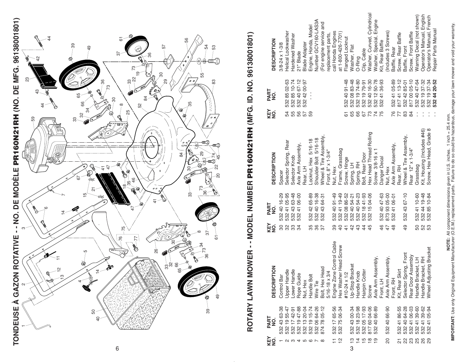TONDEUSE À GAZON ROTATIVE - - NO. DE MODÈLE PR160N21RH (NO. DE MFG. 96138001801) **TONDEUSE À GAZON ROTATIVE - - NO. DE MODÈLE PR160N21RH (NO. DE MFG. 96138001801)** ო  $\begin{matrix} 1 & 2 & 3 \ 1 & 2 & 3 \end{matrix}$ 



6

# ROTARY LAWN MOWER - - MODEL NUMBER PR160N21RH (MFG. ID. NO. 96138001801) **ROTARY LAWN MOWER - - MODEL NUMBER PR160N21RH (MFG. ID. NO. 96138001801)**

| <b>DESCRIPTION</b>               | $3/8 - 24 \times 1 - 3/8$ | Helical Lockwasher                 | Hardened Washer              | 21" Blade           | <b>Blade Adapter</b> | Engine, Honda, Model | Number GCV160-LAS3A                                                                          | For engine service and | replacement parts, | call Honda Engines        | at 1-800-426-7701)                                | Flanged Locknut               | Washer, Flat                       | O-Ring                                      | Clip, Cable        | Washer, Curved, Cylindrical                                  | Washer, Special, Engine | Kit, Rear Baffle   | (Includes 3 Screws) | Baffle, Rear                | Screw, Rear Baffle           | Baffle, Front                      | Screw, Front Baffle                                                          | Warning Decal (not shown) | Operator's Manual, English  | Operator's Manual, French | Repair Parts Manual |
|----------------------------------|---------------------------|------------------------------------|------------------------------|---------------------|----------------------|----------------------|----------------------------------------------------------------------------------------------|------------------------|--------------------|---------------------------|---------------------------------------------------|-------------------------------|------------------------------------|---------------------------------------------|--------------------|--------------------------------------------------------------|-------------------------|--------------------|---------------------|-----------------------------|------------------------------|------------------------------------|------------------------------------------------------------------------------|---------------------------|-----------------------------|---------------------------|---------------------|
| PART<br>NO.<br>KEY<br>NO.        |                           | 532 85 02-63<br>532 85 10-74<br>54 | 55                           | 532 40 67-12<br>56  | 532 42 00-97         | 59                   |                                                                                              |                        |                    |                           |                                                   | 532 40 91-48<br>61            | 532 08 83-48                       | 532 19 74-80<br>89                          | 532 19 79-91<br>67 | 532 40 16-30<br>73                                           | 532 12 50-78            | 532 41 36-93<br>75 |                     | 76                          | 532 41 05-89<br>817 41 13-12 | 532 42 85-01<br>817 00 05-10<br>83 | $\approx$                                                                    | 532 40 47-64              | 532 19 37-32                | 532 19 37-34              | 532 44 20-52        |
| <b>DESCRIPTION</b>               | Spacer                    | Selector Spring, Rear              | Selector Knob                | Axle Arm Assembly,  | Rear, LH             | Locknut, Hex 5/16-18 | Shoulder Bolt 5/16-18                                                                        | Wheel & Tire Assembly  | Front, 8" x 1-3/4" | Nut, Hex                  | Frame, Grassbag                                   | Screw, Hinge                  | Spring, LH                         | Spring, RH                                  | Bolt, Rear Door    | Hex Head Thread Rolling                                      | Screw 3/8-16 x          | Danger Decal       | Nut, Hex            | Axle Arm Assembly,          | Rear, RH                     | Wheel & Tire Assembly,             | Rear 12" x 1-3/4"                                                            | Grassbag                  | Kit, Housing (Includes #46) | Screw, Hex Head, Grade 8  |                     |
| PART<br>NO.<br>KEY<br>NO.        | 5324016-29<br>30          | 5324105-95<br>32                   | 532 43 63-48                 | 5324106-00          |                      | 532 42 65-89<br>35   | 532 40 16-38<br>36                                                                           | 532 43 64-31<br>37     |                    | 532 40 91-49<br>39        | 5324119-49<br>$\overline{40}$                     | 532 08 86-52<br>$\frac{4}{3}$ | 532 40 54-21<br>$\frac{2}{3}$      | 532 40 54-23<br>43                          | 532 18 41-93<br>44 | 532 15 04-06<br>45                                           |                         | 532 40 47-63<br>46 | 8739305-00<br>47    | 5324106-01<br>$\frac{8}{4}$ |                              | 5324367-10<br>49                   |                                                                              | 5324110-60<br>50          | 532 44 19-48<br>52          | 532 85 10-84<br>53        |                     |
| $\frac{2}{5}$<br><b>DESCRIPT</b> | Control Bar               |                                    | Upper Handle<br>Lower Handle | $\Phi$<br>Rope Guid | Nut, Hex             | Handle Bolt          | Wire Tie                                                                                     | Bolt, Hex Head         | 5/16-18 x 3/4      | Engine Zone Control Cable | Hex Washer Head Screw                             | #10-24 x 1/2                  | Up-Stop Bracket                    | Handle Knob                                 | Hairpin Cotter     | Screw                                                        | Axle Arm Assembly,      | Front, LH          | Axle Arm Assembly   | Front, RH                   | Kit, Rear Skirt              | Selector Spring, Front             | Rear Door Assembly                                                           | Handle Bracket, LH        | Handle Bracket, RH          | Wheel Adjusting Bracket   |                     |
| PART<br>g<br>KEY<br>NO.          | 532 43 63-38              |                                    |                              |                     |                      | <b>- 234567</b>      | 532 19 55-47<br>532 17 42-91<br>532 19 47-88<br>532 13 20-04<br>532 06 64-26<br>532 06 64-26 |                        |                    |                           | 532 17 65-56<br>532 75 06-34<br>$=$ $\frac{1}{2}$ |                               | 532 43 00-34<br>$\frac{1}{2}$<br>3 | $\begin{array}{c}\n\Xi \\ \Xi\n\end{array}$ |                    | 532 18 23-98<br>532 05 17-93<br>817 60 04-06<br>532 40 66-89 | ္စာ                     |                    | 532 40 66-90<br>8   |                             | 532 41 86-55                 |                                    | 532 40 64-28<br>532 41 06-03<br>532 41 39-62<br>532 41 39-62<br>532 41 05-94 |                           |                             |                           |                     |

**MPORTANT:** Use only Original Equipment Manufacturer (O.E.M.) replacement of mass of early refers to incheal 25.4 mm.<br>IMPORTANT: Use only Original Equipment Manufacturer (O.E.M.) replacement parts. Failure to do so could b **IMPORTANT:** Use only Original Equipment Manufacturer (O.E.M.) replacement parts. Failure to do so could be hazardous, damage your lawn mower and void your warranty. **NOTE:** All component dimensions given in U.S. inches. 1 inch = 25.4 mm.